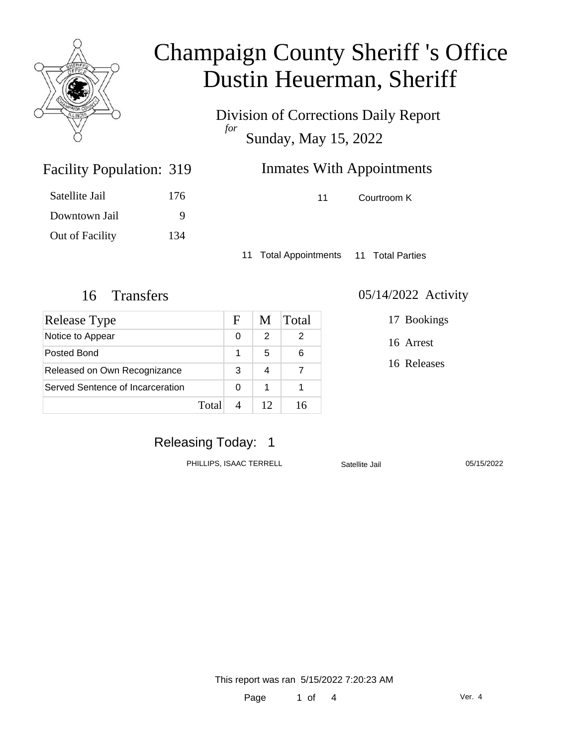

Division of Corrections Daily Report *for* Sunday, May 15, 2022

| 319 | <b>Inmates With Appointments</b> |
|-----|----------------------------------|
|     |                                  |

Satellite Jail 176 Downtown Jail 9 Out of Facility 134

Facility Population: 319

11 Courtroom K

11 Total Appointments 11 Total Parties

| Release Type                     |       | F | M | Total |
|----------------------------------|-------|---|---|-------|
| Notice to Appear                 |       | 0 | 2 | 2     |
| Posted Bond                      |       |   | 5 | 6     |
| Released on Own Recognizance     |       | 3 | 4 |       |
| Served Sentence of Incarceration |       | 0 | 1 |       |
|                                  | Total |   |   |       |

#### 16 Transfers 05/14/2022 Activity

17 Bookings

16 Arrest

16 Releases

### Releasing Today: 1

PHILLIPS, ISAAC TERRELL Satellite Jail 05/15/2022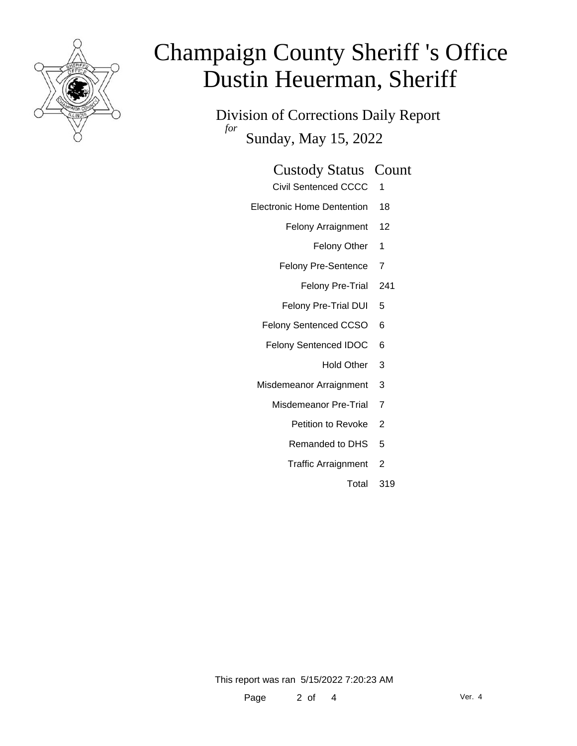

Division of Corrections Daily Report *for* Sunday, May 15, 2022

| <b>Custody Status Count</b>                             |  |
|---------------------------------------------------------|--|
| $\sim$ $\sim$ $\sim$ $\sim$ $\sim$ $\sim$ $\sim$ $\sim$ |  |

- Civil Sentenced CCCC 1
- Electronic Home Dentention 18
	- Felony Arraignment 12
		- Felony Other 1
	- Felony Pre-Sentence 7
		- Felony Pre-Trial 241
	- Felony Pre-Trial DUI 5
	- Felony Sentenced CCSO 6
	- Felony Sentenced IDOC 6
		- Hold Other 3
	- Misdemeanor Arraignment 3
		- Misdemeanor Pre-Trial 7
			- Petition to Revoke 2
			- Remanded to DHS 5
			- Traffic Arraignment 2
				- Total 319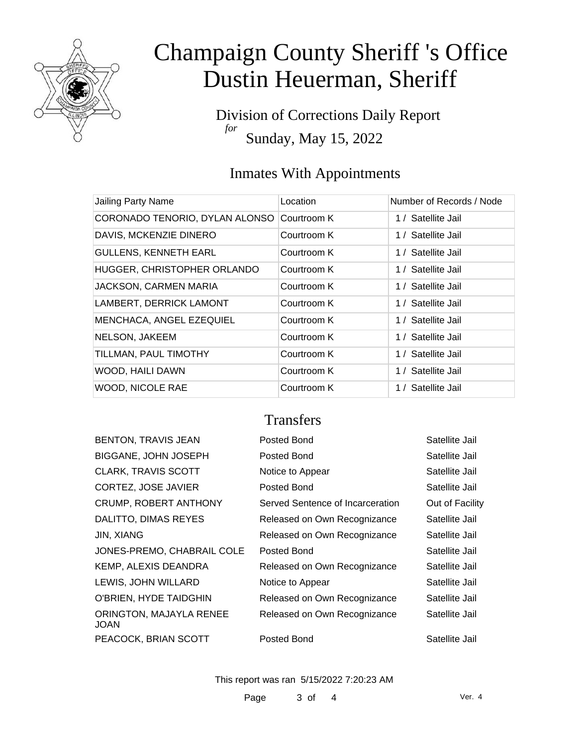

Division of Corrections Daily Report *for* Sunday, May 15, 2022

### Inmates With Appointments

| Jailing Party Name             | Location    | Number of Records / Node |
|--------------------------------|-------------|--------------------------|
| CORONADO TENORIO, DYLAN ALONSO | Courtroom K | 1 / Satellite Jail       |
| DAVIS, MCKENZIE DINERO         | Courtroom K | 1 / Satellite Jail       |
| <b>GULLENS, KENNETH EARL</b>   | Courtroom K | 1 / Satellite Jail       |
| HUGGER, CHRISTOPHER ORLANDO    | Courtroom K | 1 / Satellite Jail       |
| <b>JACKSON, CARMEN MARIA</b>   | Courtroom K | 1 / Satellite Jail       |
| LAMBERT, DERRICK LAMONT        | Courtroom K | 1 / Satellite Jail       |
| MENCHACA, ANGEL EZEQUIEL       | Courtroom K | 1 / Satellite Jail       |
| NELSON, JAKEEM                 | Courtroom K | 1 / Satellite Jail       |
| TILLMAN, PAUL TIMOTHY          | Courtroom K | 1 / Satellite Jail       |
| WOOD, HAILI DAWN               | Courtroom K | 1 / Satellite Jail       |
| <b>WOOD, NICOLE RAE</b>        | Courtroom K | 1 / Satellite Jail       |

#### **Transfers**

| <b>BENTON, TRAVIS JEAN</b>      | Posted Bond                      | Satellite Jail  |
|---------------------------------|----------------------------------|-----------------|
| BIGGANE, JOHN JOSEPH            | Posted Bond                      | Satellite Jail  |
| <b>CLARK, TRAVIS SCOTT</b>      | Notice to Appear                 | Satellite Jail  |
| CORTEZ, JOSE JAVIER             | Posted Bond                      | Satellite Jail  |
| CRUMP, ROBERT ANTHONY           | Served Sentence of Incarceration | Out of Facility |
| DALITTO, DIMAS REYES            | Released on Own Recognizance     | Satellite Jail  |
| JIN, XIANG                      | Released on Own Recognizance     | Satellite Jail  |
| JONES-PREMO, CHABRAIL COLE      | Posted Bond                      | Satellite Jail  |
| KEMP, ALEXIS DEANDRA            | Released on Own Recognizance     | Satellite Jail  |
| LEWIS, JOHN WILLARD             | Notice to Appear                 | Satellite Jail  |
| O'BRIEN, HYDE TAIDGHIN          | Released on Own Recognizance     | Satellite Jail  |
| ORINGTON, MAJAYLA RENEE<br>JOAN | Released on Own Recognizance     | Satellite Jail  |
| PEACOCK, BRIAN SCOTT            | Posted Bond                      | Satellite Jail  |
|                                 |                                  |                 |